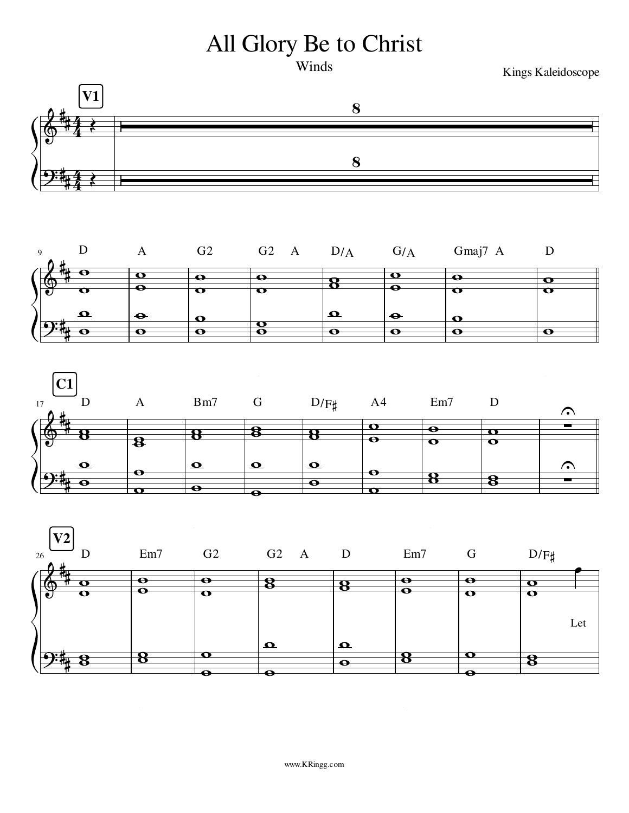## All Glory Be to Christ

Winds

Kings Kaleidoscope







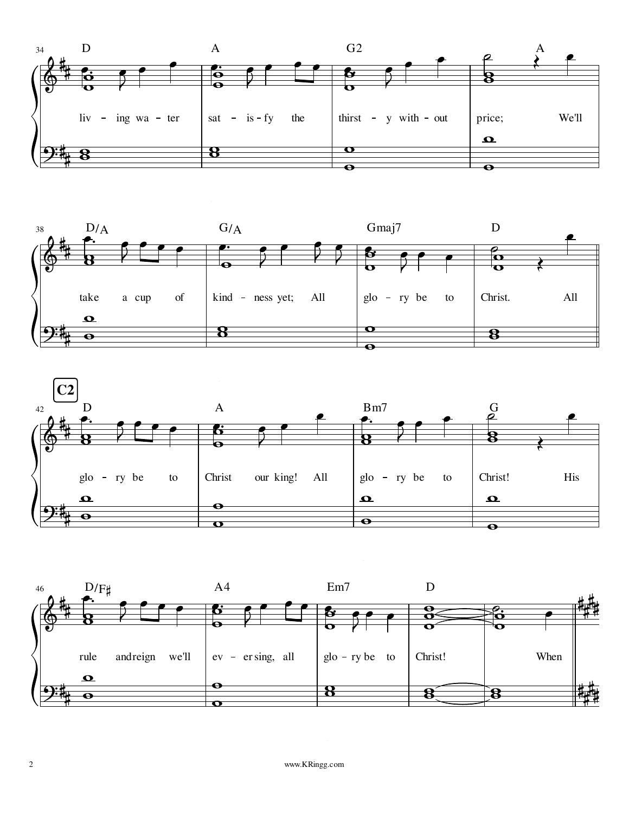